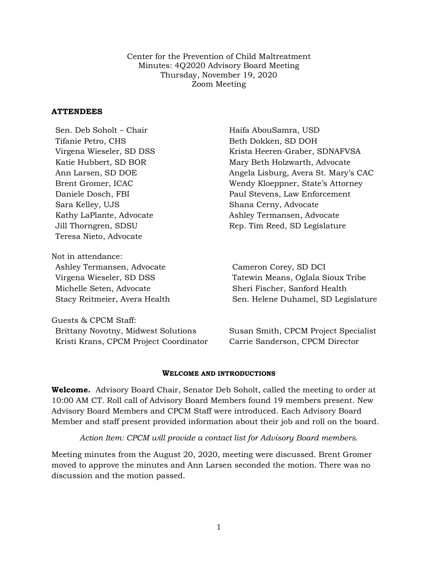Center for the Prevention of Child Maltreatment Minutes: 4Q2020 Advisory Board Meeting Thursday, November 19, 2020 Zoom Meeting

# **ATTENDEES**

| Sen. Deb Soholt – Chair             | Haifa AbouSamra, USD                 |
|-------------------------------------|--------------------------------------|
| Tifanie Petro, CHS                  | Beth Dokken, SD DOH                  |
| Virgena Wieseler, SD DSS            | Krista Heeren-Graber, SDNAFVSA       |
| Katie Hubbert, SD BOR               | Mary Beth Holzwarth, Advocate        |
| Ann Larsen, SD DOE                  | Angela Lisburg, Avera St. Mary's CAC |
| Brent Gromer, ICAC                  | Wendy Kloeppner, State's Attorney    |
| Daniele Dosch, FBI                  | Paul Stevens, Law Enforcement        |
| Sara Kelley, UJS                    | Shana Cerny, Advocate                |
| Kathy LaPlante, Advocate            | Ashley Termansen, Advocate           |
| Jill Thorngren, SDSU                | Rep. Tim Reed, SD Legislature        |
| Teresa Nieto, Advocate              |                                      |
| Not in attendance:                  |                                      |
| Ashley Termansen, Advocate          | Cameron Corey, SD DCI                |
| Virgena Wieseler, SD DSS            | Tatewin Means, Oglala Sioux Tribe    |
| Michelle Seten, Advocate            | Sheri Fischer, Sanford Health        |
| Stacy Reitmeier, Avera Health       | Sen. Helene Duhamel, SD Legislature  |
| Guests & CPCM Staff:                |                                      |
| Brittany Novotny, Midwest Solutions | Susan Smith, CPCM Project Specialist |

#### **WELCOME AND INTRODUCTIONS**

Kristi Krans, CPCM Project Coordinator Carrie Sanderson, CPCM Director

**Welcome.** Advisory Board Chair, Senator Deb Soholt, called the meeting to order at 10:00 AM CT. Roll call of Advisory Board Members found 19 members present. New Advisory Board Members and CPCM Staff were introduced. Each Advisory Board Member and staff present provided information about their job and roll on the board.

*Action Item: CPCM will provide a contact list for Advisory Board members.*

Meeting minutes from the August 20, 2020, meeting were discussed. Brent Gromer moved to approve the minutes and Ann Larsen seconded the motion. There was no discussion and the motion passed.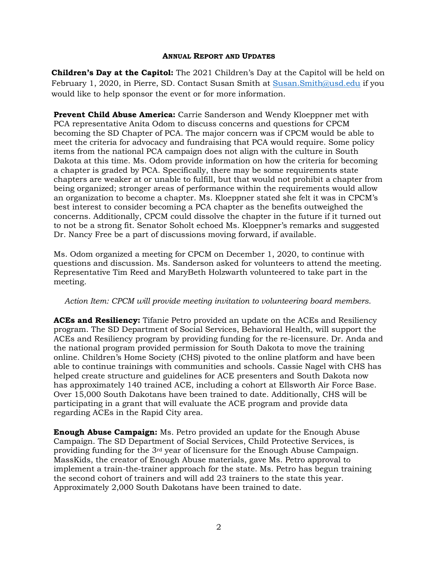#### **ANNUAL REPORT AND UPDATES**

**Children's Day at the Capitol:** The 2021 Children's Day at the Capitol will be held on February 1, 2020, in Pierre, SD. Contact Susan Smith at [Susan.Smith@usd.edu](mailto:Susan.Smith@usd.edu) if you would like to help sponsor the event or for more information.

**Prevent Child Abuse America:** Carrie Sanderson and Wendy Kloeppner met with PCA representative Anita Odom to discuss concerns and questions for CPCM becoming the SD Chapter of PCA. The major concern was if CPCM would be able to meet the criteria for advocacy and fundraising that PCA would require. Some policy items from the national PCA campaign does not align with the culture in South Dakota at this time. Ms. Odom provide information on how the criteria for becoming a chapter is graded by PCA. Specifically, there may be some requirements state chapters are weaker at or unable to fulfill, but that would not prohibit a chapter from being organized; stronger areas of performance within the requirements would allow an organization to become a chapter. Ms. Kloeppner stated she felt it was in CPCM's best interest to consider becoming a PCA chapter as the benefits outweighed the concerns. Additionally, CPCM could dissolve the chapter in the future if it turned out to not be a strong fit. Senator Soholt echoed Ms. Kloeppner's remarks and suggested Dr. Nancy Free be a part of discussions moving forward, if available.

Ms. Odom organized a meeting for CPCM on December 1, 2020, to continue with questions and discussion. Ms. Sanderson asked for volunteers to attend the meeting. Representative Tim Reed and MaryBeth Holzwarth volunteered to take part in the meeting.

# *Action Item: CPCM will provide meeting invitation to volunteering board members.*

**ACEs and Resiliency:** Tifanie Petro provided an update on the ACEs and Resiliency program. The SD Department of Social Services, Behavioral Health, will support the ACEs and Resiliency program by providing funding for the re-licensure. Dr. Anda and the national program provided permission for South Dakota to move the training online. Children's Home Society (CHS) pivoted to the online platform and have been able to continue trainings with communities and schools. Cassie Nagel with CHS has helped create structure and guidelines for ACE presenters and South Dakota now has approximately 140 trained ACE, including a cohort at Ellsworth Air Force Base. Over 15,000 South Dakotans have been trained to date. Additionally, CHS will be participating in a grant that will evaluate the ACE program and provide data regarding ACEs in the Rapid City area.

**Enough Abuse Campaign:** Ms. Petro provided an update for the Enough Abuse Campaign. The SD Department of Social Services, Child Protective Services, is providing funding for the  $3<sup>rd</sup>$  year of licensure for the Enough Abuse Campaign. MassKids, the creator of Enough Abuse materials, gave Ms. Petro approval to implement a train-the-trainer approach for the state. Ms. Petro has begun training the second cohort of trainers and will add 23 trainers to the state this year. Approximately 2,000 South Dakotans have been trained to date.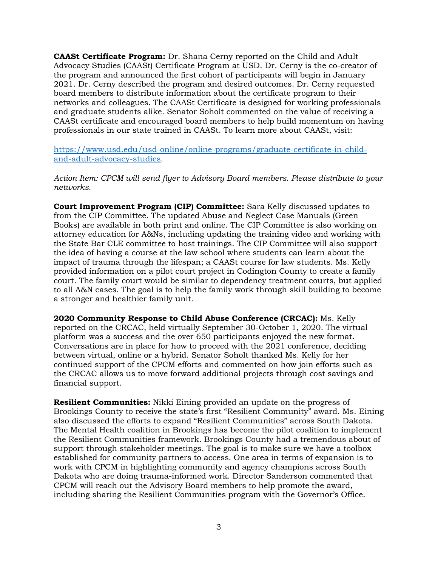**CAASt Certificate Program:** Dr. Shana Cerny reported on the Child and Adult Advocacy Studies (CAASt) Certificate Program at USD. Dr. Cerny is the co-creator of the program and announced the first cohort of participants will begin in January 2021. Dr. Cerny described the program and desired outcomes. Dr. Cerny requested board members to distribute information about the certificate program to their networks and colleagues. The CAASt Certificate is designed for working professionals and graduate students alike. Senator Soholt commented on the value of receiving a CAASt certificate and encouraged board members to help build momentum on having professionals in our state trained in CAASt. To learn more about CAASt, visit:

[https://www.usd.edu/usd-online/online-programs/graduate-certificate-in-child](https://www.usd.edu/usd-online/online-programs/graduate-certificate-in-child-and-adult-advocacy-studies)[and-adult-advocacy-studies.](https://www.usd.edu/usd-online/online-programs/graduate-certificate-in-child-and-adult-advocacy-studies)

*Action Item: CPCM will send flyer to Advisory Board members. Please distribute to your networks.* 

**Court Improvement Program (CIP) Committee:** Sara Kelly discussed updates to from the CIP Committee. The updated Abuse and Neglect Case Manuals (Green Books) are available in both print and online. The CIP Committee is also working on attorney education for A&Ns, including updating the training video and working with the State Bar CLE committee to host trainings. The CIP Committee will also support the idea of having a course at the law school where students can learn about the impact of trauma through the lifespan; a CAASt course for law students. Ms. Kelly provided information on a pilot court project in Codington County to create a family court. The family court would be similar to dependency treatment courts, but applied to all A&N cases. The goal is to help the family work through skill building to become a stronger and healthier family unit.

**2020 Community Response to Child Abuse Conference (CRCAC):** Ms. Kelly reported on the CRCAC, held virtually September 30-October 1, 2020. The virtual platform was a success and the over 650 participants enjoyed the new format. Conversations are in place for how to proceed with the 2021 conference, deciding between virtual, online or a hybrid. Senator Soholt thanked Ms. Kelly for her continued support of the CPCM efforts and commented on how join efforts such as the CRCAC allows us to move forward additional projects through cost savings and financial support.

**Resilient Communities:** Nikki Eining provided an update on the progress of Brookings County to receive the state's first "Resilient Community" award. Ms. Eining also discussed the efforts to expand "Resilient Communities" across South Dakota. The Mental Health coalition in Brookings has become the pilot coalition to implement the Resilient Communities framework. Brookings County had a tremendous about of support through stakeholder meetings. The goal is to make sure we have a toolbox established for community partners to access. One area in terms of expansion is to work with CPCM in highlighting community and agency champions across South Dakota who are doing trauma-informed work. Director Sanderson commented that CPCM will reach out the Advisory Board members to help promote the award, including sharing the Resilient Communities program with the Governor's Office.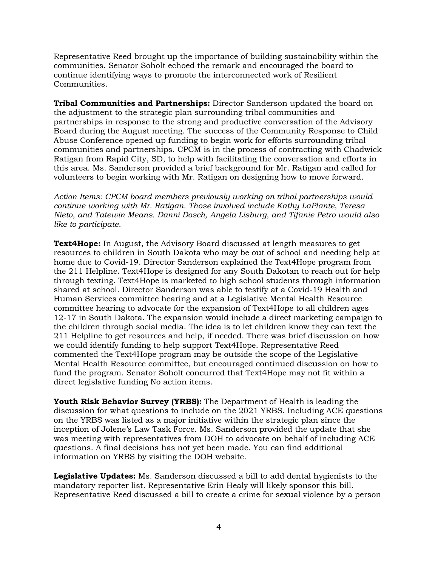Representative Reed brought up the importance of building sustainability within the communities. Senator Soholt echoed the remark and encouraged the board to continue identifying ways to promote the interconnected work of Resilient Communities.

**Tribal Communities and Partnerships:** Director Sanderson updated the board on the adjustment to the strategic plan surrounding tribal communities and partnerships in response to the strong and productive conversation of the Advisory Board during the August meeting. The success of the Community Response to Child Abuse Conference opened up funding to begin work for efforts surrounding tribal communities and partnerships. CPCM is in the process of contracting with Chadwick Ratigan from Rapid City, SD, to help with facilitating the conversation and efforts in this area. Ms. Sanderson provided a brief background for Mr. Ratigan and called for volunteers to begin working with Mr. Ratigan on designing how to move forward.

*Action Items: CPCM board members previously working on tribal partnerships would continue working with Mr. Ratigan. Those involved include Kathy LaPlante, Teresa Nieto, and Tatewin Means. Danni Dosch, Angela Lisburg, and Tifanie Petro would also like to participate.* 

**Text4Hope:** In August, the Advisory Board discussed at length measures to get resources to children in South Dakota who may be out of school and needing help at home due to Covid-19. Director Sanderson explained the Text4Hope program from the 211 Helpline. Text4Hope is designed for any South Dakotan to reach out for help through texting. Text4Hope is marketed to high school students through information shared at school. Director Sanderson was able to testify at a Covid-19 Health and Human Services committee hearing and at a Legislative Mental Health Resource committee hearing to advocate for the expansion of Text4Hope to all children ages 12-17 in South Dakota. The expansion would include a direct marketing campaign to the children through social media. The idea is to let children know they can text the 211 Helpline to get resources and help, if needed. There was brief discussion on how we could identify funding to help support Text4Hope. Representative Reed commented the Text4Hope program may be outside the scope of the Legislative Mental Health Resource committee, but encouraged continued discussion on how to fund the program. Senator Soholt concurred that Text4Hope may not fit within a direct legislative funding No action items.

**Youth Risk Behavior Survey (YRBS):** The Department of Health is leading the discussion for what questions to include on the 2021 YRBS. Including ACE questions on the YRBS was listed as a major initiative within the strategic plan since the inception of Jolene's Law Task Force. Ms. Sanderson provided the update that she was meeting with representatives from DOH to advocate on behalf of including ACE questions. A final decisions has not yet been made. You can find additional information on YRBS by visiting the DOH website.

**Legislative Updates:** Ms. Sanderson discussed a bill to add dental hygienists to the mandatory reporter list. Representative Erin Healy will likely sponsor this bill. Representative Reed discussed a bill to create a crime for sexual violence by a person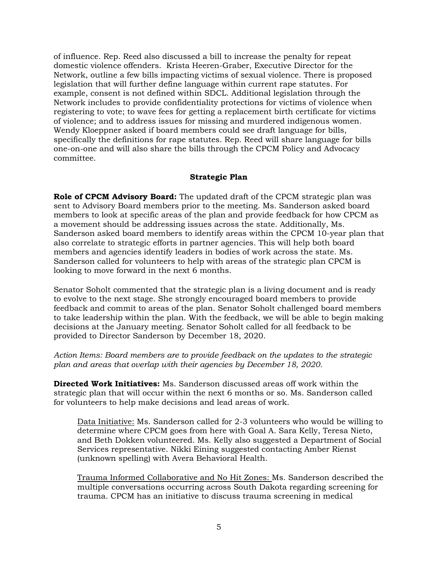of influence. Rep. Reed also discussed a bill to increase the penalty for repeat domestic violence offenders. Krista Heeren-Graber, Executive Director for the Network, outline a few bills impacting victims of sexual violence. There is proposed legislation that will further define language within current rape statutes. For example, consent is not defined within SDCL. Additional legislation through the Network includes to provide confidentiality protections for victims of violence when registering to vote; to wave fees for getting a replacement birth certificate for victims of violence; and to address issues for missing and murdered indigenous women. Wendy Kloeppner asked if board members could see draft language for bills, specifically the definitions for rape statutes. Rep. Reed will share language for bills one-on-one and will also share the bills through the CPCM Policy and Advocacy committee.

# **Strategic Plan**

**Role of CPCM Advisory Board:** The updated draft of the CPCM strategic plan was sent to Advisory Board members prior to the meeting. Ms. Sanderson asked board members to look at specific areas of the plan and provide feedback for how CPCM as a movement should be addressing issues across the state. Additionally, Ms. Sanderson asked board members to identify areas within the CPCM 10-year plan that also correlate to strategic efforts in partner agencies. This will help both board members and agencies identify leaders in bodies of work across the state. Ms. Sanderson called for volunteers to help with areas of the strategic plan CPCM is looking to move forward in the next 6 months.

Senator Soholt commented that the strategic plan is a living document and is ready to evolve to the next stage. She strongly encouraged board members to provide feedback and commit to areas of the plan. Senator Soholt challenged board members to take leadership within the plan. With the feedback, we will be able to begin making decisions at the January meeting. Senator Soholt called for all feedback to be provided to Director Sanderson by December 18, 2020.

*Action Items: Board members are to provide feedback on the updates to the strategic plan and areas that overlap with their agencies by December 18, 2020.* 

**Directed Work Initiatives:** Ms. Sanderson discussed areas off work within the strategic plan that will occur within the next 6 months or so. Ms. Sanderson called for volunteers to help make decisions and lead areas of work.

Data Initiative: Ms. Sanderson called for 2-3 volunteers who would be willing to determine where CPCM goes from here with Goal A. Sara Kelly, Teresa Nieto, and Beth Dokken volunteered. Ms. Kelly also suggested a Department of Social Services representative. Nikki Eining suggested contacting Amber Rienst (unknown spelling) with Avera Behavioral Health.

Trauma Informed Collaborative and No Hit Zones: Ms. Sanderson described the multiple conversations occurring across South Dakota regarding screening for trauma. CPCM has an initiative to discuss trauma screening in medical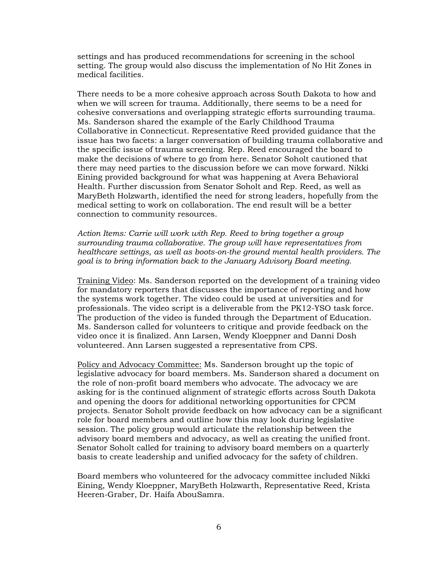settings and has produced recommendations for screening in the school setting. The group would also discuss the implementation of No Hit Zones in medical facilities.

There needs to be a more cohesive approach across South Dakota to how and when we will screen for trauma. Additionally, there seems to be a need for cohesive conversations and overlapping strategic efforts surrounding trauma. Ms. Sanderson shared the example of the Early Childhood Trauma Collaborative in Connecticut. Representative Reed provided guidance that the issue has two facets: a larger conversation of building trauma collaborative and the specific issue of trauma screening. Rep. Reed encouraged the board to make the decisions of where to go from here. Senator Soholt cautioned that there may need parties to the discussion before we can move forward. Nikki Eining provided background for what was happening at Avera Behavioral Health. Further discussion from Senator Soholt and Rep. Reed, as well as MaryBeth Holzwarth, identified the need for strong leaders, hopefully from the medical setting to work on collaboration. The end result will be a better connection to community resources.

*Action Items: Carrie will work with Rep. Reed to bring together a group surrounding trauma collaborative. The group will have representatives from healthcare settings, as well as boots-on-the ground mental health providers. The goal is to bring information back to the January Advisory Board meeting.* 

Training Video: Ms. Sanderson reported on the development of a training video for mandatory reporters that discusses the importance of reporting and how the systems work together. The video could be used at universities and for professionals. The video script is a deliverable from the PK12-YSO task force. The production of the video is funded through the Department of Education. Ms. Sanderson called for volunteers to critique and provide feedback on the video once it is finalized. Ann Larsen, Wendy Kloeppner and Danni Dosh volunteered. Ann Larsen suggested a representative from CPS.

Policy and Advocacy Committee: Ms. Sanderson brought up the topic of legislative advocacy for board members. Ms. Sanderson shared a document on the role of non-profit board members who advocate. The advocacy we are asking for is the continued alignment of strategic efforts across South Dakota and opening the doors for additional networking opportunities for CPCM projects. Senator Soholt provide feedback on how advocacy can be a significant role for board members and outline how this may look during legislative session. The policy group would articulate the relationship between the advisory board members and advocacy, as well as creating the unified front. Senator Soholt called for training to advisory board members on a quarterly basis to create leadership and unified advocacy for the safety of children.

Board members who volunteered for the advocacy committee included Nikki Eining, Wendy Kloeppner, MaryBeth Holzwarth, Representative Reed, Krista Heeren-Graber, Dr. Haifa AbouSamra.